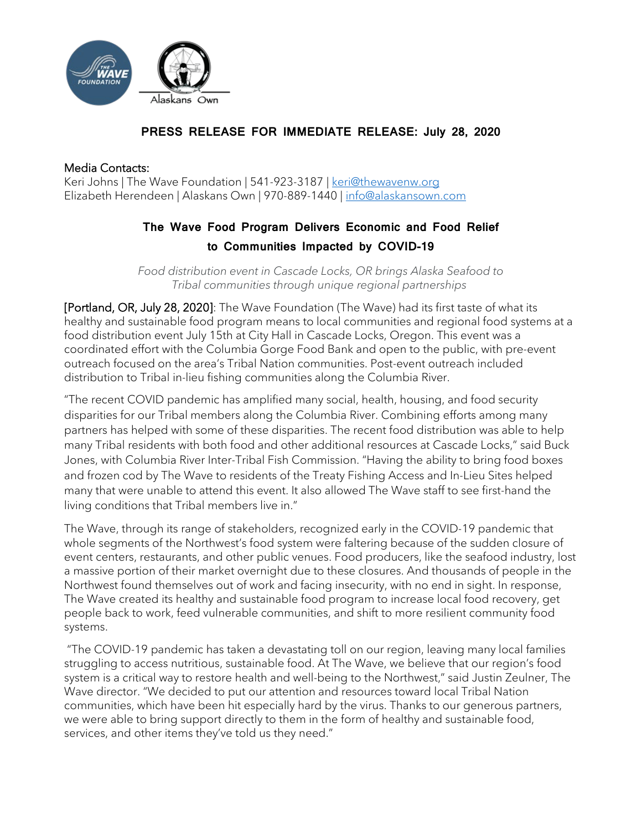

## **PRESS RELEASE FOR IMMEDIATE RELEASE: July 28, 2020**

## Media Contacts:

Keri Johns | The Wave Foundation | 541-923-3187 | [keri@thewavenw.org](mailto:keri@thewavenw.org) Elizabeth Herendeen | Alaskans Own | 970-889-1440 [| info@alaskansown.com](mailto:info@alaskansown.com)

## **The Wave Food Program Delivers Economic and Food Relief to Communities Impacted by COVID-19**

*Food distribution event in Cascade Locks, OR brings Alaska Seafood to Tribal communities through unique regional partnerships*

[Portland, OR, July 28, 2020]: The Wave Foundation (The Wave) had its first taste of what its healthy and sustainable food program means to local communities and regional food systems at a food distribution event July 15th at City Hall in Cascade Locks, Oregon. This event was a coordinated effort with the Columbia Gorge Food Bank and open to the public, with pre-event outreach focused on the area's Tribal Nation communities. Post-event outreach included distribution to Tribal in-lieu fishing communities along the Columbia River.

"The recent COVID pandemic has amplified many social, health, housing, and food security disparities for our Tribal members along the Columbia River. Combining efforts among many partners has helped with some of these disparities. The recent food distribution was able to help many Tribal residents with both food and other additional resources at Cascade Locks," said Buck Jones, with Columbia River Inter-Tribal Fish Commission. "Having the ability to bring food boxes and frozen cod by The Wave to residents of the Treaty Fishing Access and In-Lieu Sites helped many that were unable to attend this event. It also allowed The Wave staff to see first-hand the living conditions that Tribal members live in."

The Wave, through its range of stakeholders, recognized early in the COVID-19 pandemic that whole segments of the Northwest's food system were faltering because of the sudden closure of event centers, restaurants, and other public venues. Food producers, like the seafood industry, lost a massive portion of their market overnight due to these closures. And thousands of people in the Northwest found themselves out of work and facing insecurity, with no end in sight. In response, The Wave created its healthy and sustainable food program to increase local food recovery, get people back to work, feed vulnerable communities, and shift to more resilient community food systems.

"The COVID-19 pandemic has taken a devastating toll on our region, leaving many local families struggling to access nutritious, sustainable food. At The Wave, we believe that our region's food system is a critical way to restore health and well-being to the Northwest," said Justin Zeulner, The Wave director. "We decided to put our attention and resources toward local Tribal Nation communities, which have been hit especially hard by the virus. Thanks to our generous partners, we were able to bring support directly to them in the form of healthy and sustainable food, services, and other items they've told us they need."